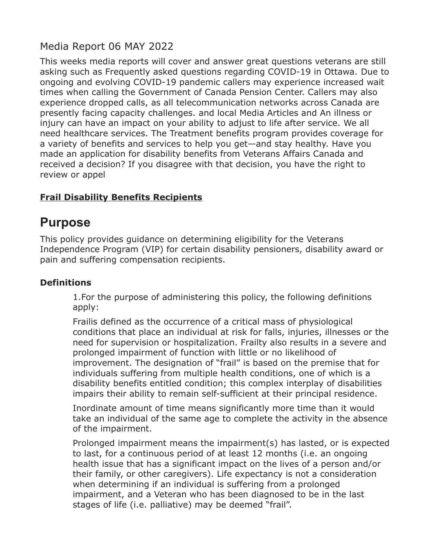# Media Report 06 MAY 2022

This weeks media reports will cover and answer great questions veterans are still asking such as Frequently asked questions regarding COVID-19 in Ottawa. Due to ongoing and evolving COVID-19 pandemic callers may experience increased wait times when calling the Government of Canada Pension Center. Callers may also experience dropped calls, as all telecommunication networks across Canada are presently facing capacity challenges. and local Media Articles and An illness or injury can have an impact on your ability to adjust to life after service. We all need healthcare services. The Treatment benefits program provides coverage for a variety of benefits and services to help you get—and stay healthy. Have you made an application for disability benefits from Veterans Affairs Canada and received a decision? If you disagree with that decision, you have the right to review or appel

## **Frail Disability Benefits Recipients**

# **Purpose**

This policy provides guidance on determining eligibility for the Veterans Independence Program (VIP) for certain disability pensioners, disability award or pain and suffering compensation recipients.

#### **Definitions**

1.For the purpose of administering this policy, the following definitions apply:

Frailis defined as the occurrence of a critical mass of physiological conditions that place an individual at risk for falls, injuries, illnesses or the need for supervision or hospitalization. Frailty also results in a severe and prolonged impairment of function with little or no likelihood of improvement. The designation of "frail" is based on the premise that for individuals suffering from multiple health conditions, one of which is a disability benefits entitled condition; this complex interplay of disabilities impairs their ability to remain self-sufficient at their principal residence.

Inordinate amount of time means significantly more time than it would take an individual of the same age to complete the activity in the absence of the impairment.

Prolonged impairment means the impairment(s) has lasted, or is expected to last, for a continuous period of at least 12 months (i.e. an ongoing health issue that has a significant impact on the lives of a person and/or their family, or other caregivers). Life expectancy is not a consideration when determining if an individual is suffering from a prolonged impairment, and a Veteran who has been diagnosed to be in the last stages of life (i.e. palliative) may be deemed "frail".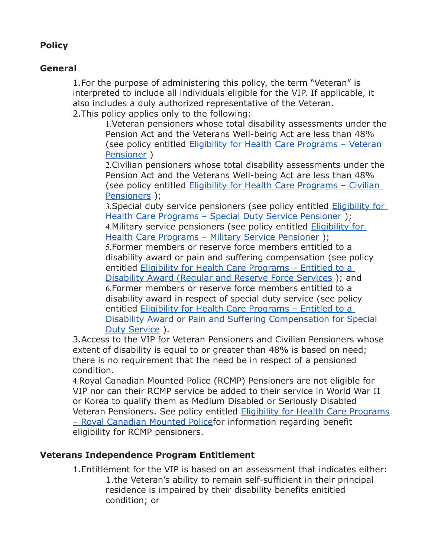### **Policy**

#### **General**

1.For the purpose of administering this policy, the term "Veteran" is interpreted to include all individuals eligible for the VIP. If applicable, it also includes a duly authorized representative of the Veteran. 2.This policy applies only to the following:

> 1.Veteran pensioners whose total disability assessments under the Pension Act and the Veterans Well-being Act are less than 48% (see policy entitled [Eligibility for Health Care Programs – Veteran](https://natoveterans.org/EmailTracker/LinkTracker.ashx?linkAndRecipientCode=Sroham0j6CXPMqc0EcYGc6m70ADegJVzJmFkxUw9Q84z3CCRhfEUwyQuB4WTNJR7FIa%2B%2Fq51d3XhXS7N46mrCy7%2BMwG%2BKfWouqtavqrm8c4%3D)  [Pensioner](https://natoveterans.org/EmailTracker/LinkTracker.ashx?linkAndRecipientCode=Sroham0j6CXPMqc0EcYGc6m70ADegJVzJmFkxUw9Q84z3CCRhfEUwyQuB4WTNJR7FIa%2B%2Fq51d3XhXS7N46mrCy7%2BMwG%2BKfWouqtavqrm8c4%3D) )

> 2.Civilian pensioners whose total disability assessments under the Pension Act and the Veterans Well-being Act are less than 48% (see policy entitled [Eligibility for Health Care Programs – Civilian](https://natoveterans.org/EmailTracker/LinkTracker.ashx?linkAndRecipientCode=y2PaR%2ByxJ0oNelusKIBowmYQP0jvDEnIjLdnyu%2B3wNy4sQr%2FliJbejLZGVLkLvGWChrJZTwVhwd9IKW5rK7M%2BU9fh8u9BcjCO12ec3ZTTGE%3D)  [Pensioners](https://natoveterans.org/EmailTracker/LinkTracker.ashx?linkAndRecipientCode=y2PaR%2ByxJ0oNelusKIBowmYQP0jvDEnIjLdnyu%2B3wNy4sQr%2FliJbejLZGVLkLvGWChrJZTwVhwd9IKW5rK7M%2BU9fh8u9BcjCO12ec3ZTTGE%3D) );

> 3.Special duty service pensioners (see policy entitled [Eligibility for](https://natoveterans.org/EmailTracker/LinkTracker.ashx?linkAndRecipientCode=8dApXBRYShmbleftcz1%2FvrbfZu%2FDPD3Q%2F%2BZQHkKgQU5lYYl8PCm4XPVlQ4S%2FAotw2E8snNh489wYGqBgV%2Fev7c3UzX%2BU%2FE1Keqv8wb8eVpI%3D)  [Health Care Programs – Special Duty Service Pensioner](https://natoveterans.org/EmailTracker/LinkTracker.ashx?linkAndRecipientCode=8dApXBRYShmbleftcz1%2FvrbfZu%2FDPD3Q%2F%2BZQHkKgQU5lYYl8PCm4XPVlQ4S%2FAotw2E8snNh489wYGqBgV%2Fev7c3UzX%2BU%2FE1Keqv8wb8eVpI%3D) ); 4. Military service pensioners (see policy entitled **Eligibility for**

[Health Care Programs – Military Service Pensioner](https://natoveterans.org/EmailTracker/LinkTracker.ashx?linkAndRecipientCode=ak4VniCiMqTNoCRAVSl%2BTsPB3zKS5QIl6xR6kq48Uq30oyq9mPmVyqs2RI9Twi28KpBm7dmvDUPnTzrxLH4chEy1wK6txzJ2FcRWQsGd4I0%3D) );

5.Former members or reserve force members entitled to a disability award or pain and suffering compensation (see policy entitled [Eligibility for Health Care Programs – Entitled to a](https://natoveterans.org/EmailTracker/LinkTracker.ashx?linkAndRecipientCode=j8BOvvK89SrpBSButC7M9vQga21urTqrKsvJ0fk7wLvrpY6RAycEEh2H58dy3YUwkx2cUl64JCSb42j9tWE0NobvN%2F6GhjyPn6vIXYpY164%3D)  [Disability Award \(Regular and Reserve Force Services](https://natoveterans.org/EmailTracker/LinkTracker.ashx?linkAndRecipientCode=j8BOvvK89SrpBSButC7M9vQga21urTqrKsvJ0fk7wLvrpY6RAycEEh2H58dy3YUwkx2cUl64JCSb42j9tWE0NobvN%2F6GhjyPn6vIXYpY164%3D) ); and 6.Former members or reserve force members entitled to a disability award in respect of special duty service (see policy entitled Eligibility for Health Care Programs - Entitled to a [Disability Award or Pain and Suffering Compensation for Special](https://natoveterans.org/EmailTracker/LinkTracker.ashx?linkAndRecipientCode=YHnbtdgmFZLcPW%2B0zqKjWI32y%2FhiB9sTKXTkDRF%2Bi0TleDXbHC7WurBJeXLZfEyvUP0bk9ipaakRBqYbxjWO002kymmLnadn3IHjqVap04E%3D)  [Duty Service](https://natoveterans.org/EmailTracker/LinkTracker.ashx?linkAndRecipientCode=YHnbtdgmFZLcPW%2B0zqKjWI32y%2FhiB9sTKXTkDRF%2Bi0TleDXbHC7WurBJeXLZfEyvUP0bk9ipaakRBqYbxjWO002kymmLnadn3IHjqVap04E%3D) ).

3.Access to the VIP for Veteran Pensioners and Civilian Pensioners whose extent of disability is equal to or greater than 48% is based on need; there is no requirement that the need be in respect of a pensioned condition.

4.Royal Canadian Mounted Police (RCMP) Pensioners are not eligible for VIP nor can their RCMP service be added to their service in World War II or Korea to qualify them as Medium Disabled or Seriously Disabled Veteran Pensioners. See policy entitled [Eligibility for Health Care Programs](https://natoveterans.org/EmailTracker/LinkTracker.ashx?linkAndRecipientCode=M26zXRBuHvWRI3BzJ%2BfYiWLwHfLrdMGQO1R%2FkJ3jV4hJGxXl6WaC%2F4M%2BngdpdTMCHycoLQ4HtfGDRYPyzWdvrzimt7%2BT%2FsyX6ajrtRnpVNc%3D) [– Royal Canadian Mounted Policef](https://natoveterans.org/EmailTracker/LinkTracker.ashx?linkAndRecipientCode=M26zXRBuHvWRI3BzJ%2BfYiWLwHfLrdMGQO1R%2FkJ3jV4hJGxXl6WaC%2F4M%2BngdpdTMCHycoLQ4HtfGDRYPyzWdvrzimt7%2BT%2FsyX6ajrtRnpVNc%3D)or information regarding benefit eligibility for RCMP pensioners.

#### **Veterans Independence Program Entitlement**

1.Entitlement for the VIP is based on an assessment that indicates either: 1.the Veteran's ability to remain self-sufficient in their principal residence is impaired by their disability benefits enititled condition; or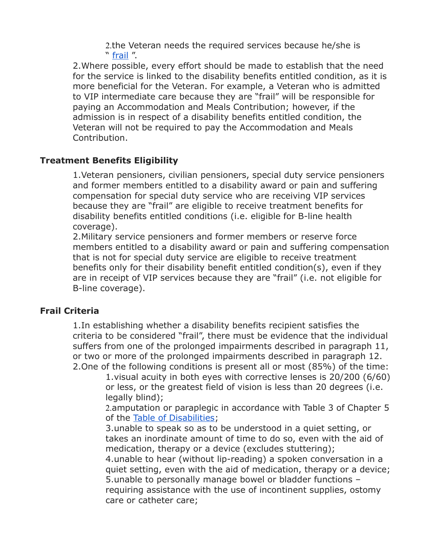2.the Veteran needs the required services because he/she is " [frail](https://natoveterans.org/EmailTracker/LinkTracker.ashx?linkAndRecipientCode=0hqmhEQboAQ9u0MOgf7tbuU8LrXqtzi3%2F0rOm%2FeVYoNidsj2akpEX0ZpdQVtvNdxqcwy0%2BBbjSKcmpRvni6IkfTKLQhMWkb%2FiBTdf0LoK8Q%3D) ".

2.Where possible, every effort should be made to establish that the need for the service is linked to the disability benefits entitled condition, as it is more beneficial for the Veteran. For example, a Veteran who is admitted to VIP intermediate care because they are "frail" will be responsible for paying an Accommodation and Meals Contribution; however, if the admission is in respect of a disability benefits entitled condition, the Veteran will not be required to pay the Accommodation and Meals Contribution.

#### **Treatment Benefits Eligibility**

1.Veteran pensioners, civilian pensioners, special duty service pensioners and former members entitled to a disability award or pain and suffering compensation for special duty service who are receiving VIP services because they are "frail" are eligible to receive treatment benefits for disability benefits entitled conditions (i.e. eligible for B-line health coverage).

2.Military service pensioners and former members or reserve force members entitled to a disability award or pain and suffering compensation that is not for special duty service are eligible to receive treatment benefits only for their disability benefit entitled condition(s), even if they are in receipt of VIP services because they are "frail" (i.e. not eligible for B-line coverage).

#### **Frail Criteria**

1.In establishing whether a disability benefits recipient satisfies the criteria to be considered "frail", there must be evidence that the individual suffers from one of the prolonged impairments described in paragraph 11, or two or more of the prolonged impairments described in paragraph 12. 2.One of the following conditions is present all or most (85%) of the time:

1.visual acuity in both eyes with corrective lenses is 20/200 (6/60) or less, or the greatest field of vision is less than 20 degrees (i.e. legally blind);

2.amputation or paraplegic in accordance with Table 3 of Chapter 5 of the [Table of Disabilities;](https://natoveterans.org/EmailTracker/LinkTracker.ashx?linkAndRecipientCode=GOUscYCGwUPW%2FoMvWThoqPYVGLlMkzwQE%2BL8Mzrbq29PhAhJ9eTugFdwKUrSyZlhbw0Z8R%2BUy%2BnJmhaTOY56J4wg59LJpSaeVhcUDzL0q9Q%3D)

3.unable to speak so as to be understood in a quiet setting, or takes an inordinate amount of time to do so, even with the aid of medication, therapy or a device (excludes stuttering);

4.unable to hear (without lip-reading) a spoken conversation in a quiet setting, even with the aid of medication, therapy or a device; 5.unable to personally manage bowel or bladder functions – requiring assistance with the use of incontinent supplies, ostomy care or catheter care;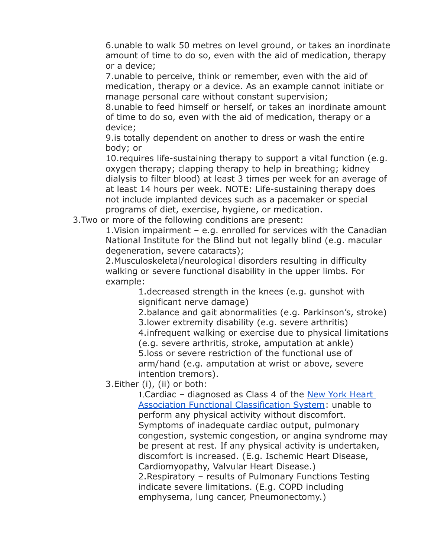6.unable to walk 50 metres on level ground, or takes an inordinate amount of time to do so, even with the aid of medication, therapy or a device;

7.unable to perceive, think or remember, even with the aid of medication, therapy or a device. As an example cannot initiate or manage personal care without constant supervision;

8.unable to feed himself or herself, or takes an inordinate amount of time to do so, even with the aid of medication, therapy or a device;

9.is totally dependent on another to dress or wash the entire body; or

10.requires life-sustaining therapy to support a vital function (e.g. oxygen therapy; clapping therapy to help in breathing; kidney dialysis to filter blood) at least 3 times per week for an average of at least 14 hours per week. NOTE: Life-sustaining therapy does not include implanted devices such as a pacemaker or special programs of diet, exercise, hygiene, or medication.

3.Two or more of the following conditions are present:

1.Vision impairment – e.g. enrolled for services with the Canadian National Institute for the Blind but not legally blind (e.g. macular degeneration, severe cataracts);

2.Musculoskeletal/neurological disorders resulting in difficulty walking or severe functional disability in the upper limbs. For example:

1.decreased strength in the knees (e.g. gunshot with significant nerve damage)

2.balance and gait abnormalities (e.g. Parkinson's, stroke) 3.lower extremity disability (e.g. severe arthritis) 4.infrequent walking or exercise due to physical limitations (e.g. severe arthritis, stroke, amputation at ankle) 5.loss or severe restriction of the functional use of arm/hand (e.g. amputation at wrist or above, severe intention tremors).

3.Either (i), (ii) or both:

1. Cardiac - diagnosed as Class 4 of the New York Heart [Association Functional Classification System:](https://natoveterans.org/EmailTracker/LinkTracker.ashx?linkAndRecipientCode=1BNzRbwYOHgU8usbVTeJ0stv7TkRYMhW1sMEvy1fJnCPKEhvj8%2FzSHYiaNfZyiD2GFgRztG1tNB449fC%2F9%2B7bczt28rX48ItbQ42yTn4FUo%3D) unable to perform any physical activity without discomfort. Symptoms of inadequate cardiac output, pulmonary congestion, systemic congestion, or angina syndrome may be present at rest. If any physical activity is undertaken, discomfort is increased. (E.g. Ischemic Heart Disease, Cardiomyopathy, Valvular Heart Disease.) 2.Respiratory – results of Pulmonary Functions Testing indicate severe limitations. (E.g. COPD including emphysema, lung cancer, Pneumonectomy.)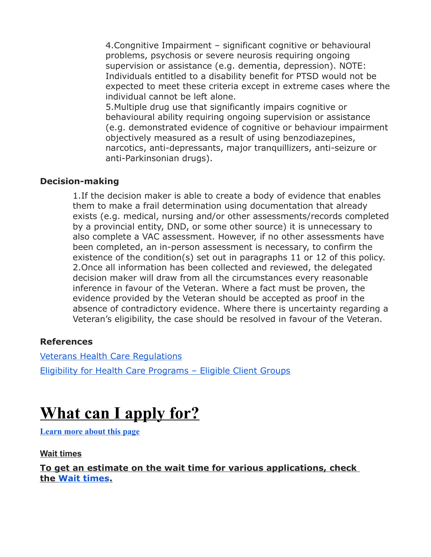4.Congnitive Impairment – significant cognitive or behavioural problems, psychosis or severe neurosis requiring ongoing supervision or assistance (e.g. dementia, depression). NOTE: Individuals entitled to a disability benefit for PTSD would not be expected to meet these criteria except in extreme cases where the individual cannot be left alone.

5.Multiple drug use that significantly impairs cognitive or behavioural ability requiring ongoing supervision or assistance (e.g. demonstrated evidence of cognitive or behaviour impairment objectively measured as a result of using benzodiazepines, narcotics, anti-depressants, major tranquillizers, anti-seizure or anti-Parkinsonian drugs).

#### **Decision-making**

1.If the decision maker is able to create a body of evidence that enables them to make a frail determination using documentation that already exists (e.g. medical, nursing and/or other assessments/records completed by a provincial entity, DND, or some other source) it is unnecessary to also complete a VAC assessment. However, if no other assessments have been completed, an in-person assessment is necessary, to confirm the existence of the condition(s) set out in paragraphs 11 or 12 of this policy. 2.Once all information has been collected and reviewed, the delegated decision maker will draw from all the circumstances every reasonable inference in favour of the Veteran. Where a fact must be proven, the evidence provided by the Veteran should be accepted as proof in the absence of contradictory evidence. Where there is uncertainty regarding a Veteran's eligibility, the case should be resolved in favour of the Veteran.

#### **References**

[Veterans Health Care Regulations](https://natoveterans.org/EmailTracker/LinkTracker.ashx?linkAndRecipientCode=zLorR6cHmj9O0js4IqIFV9qwDG%2FNYrWWJgVcVS%2BR5PiTfclCpv%2B%2BLdbD147SoZjeFAL1Y1KtR3xTHKsd9pQ67PevuGwNtiATWOQF3YMATcU%3D) [Eligibility for Health Care Programs – Eligible Client Groups](https://natoveterans.org/EmailTracker/LinkTracker.ashx?linkAndRecipientCode=ttgxCPbyKm6HoEyPyqzgwEey%2FTpvJLVoo5hNyVt6isi%2Fj2Il7in8cfKS3ehwJnnSzFEu1AWDRCPez8JH3jsMPEGnZqgTq8xtESJ6csKiPMY%3D)

# **What can I apply for?**

**[Learn more about this page](https://mva-mda.vac-acc.gc.ca/prot/mv/STATINQ_6_2#vac-site-confirm-popup)**

**Wait times**

**To get an estimate on the wait time for various applications, check the [Wait times.](https://mva-mda.vac-acc.gc.ca/prot/mv/STATINQ_6_2#vac-site-confirm-popup)**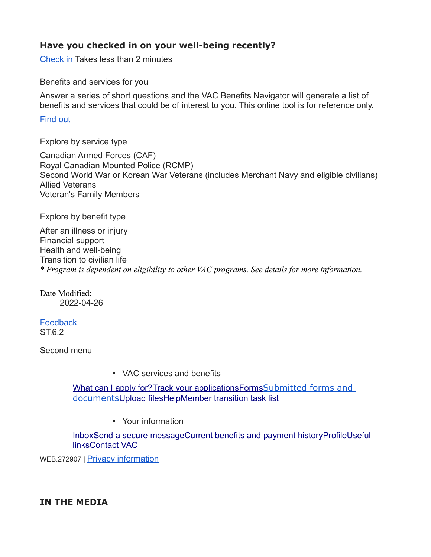#### **Have you checked in on your well-being recently?**

[Check in](https://mva-mda.vac-acc.gc.ca/prot/mv/MVA_7_7) Takes less than 2 minutes

Benefits and services for you

Answer a series of short questions and the VAC Benefits Navigator will generate a list of benefits and services that could be of interest to you. This online tool is for reference only.

#### [Find out](https://mva-mda.vac-acc.gc.ca/prot/mv/MVA_7_40_1)

Explore by service type

Canadian Armed Forces (CAF) Royal Canadian Mounted Police (RCMP) Second World War or Korean War Veterans (includes Merchant Navy and eligible civilians) Allied Veterans Veteran's Family Members

Explore by benefit type

After an illness or injury Financial support Health and well-being Transition to civilian life *\* Program is dependent on eligibility to other VAC programs. See details for more information.*

Date Modified: 2022-04-26

**[Feedback](https://mva-mda.vac-acc.gc.ca/prot/mv/STATINQ_6_2#inline_feedback_content)**  $ST62$ 

Second menu

• VAC services and benefits

What can I apply for? [Track your applications](https://mva-mda.vac-acc.gc.ca/prot/mv/STATINQ_6_3) [Forms](https://mva-mda.vac-acc.gc.ca/prot/mv/MVA_7_23_5) Submitted forms and documents [Upload files](https://mva-mda.vac-acc.gc.ca/prot/mv/MVA_7_27_1) [Help](https://mva-mda.vac-acc.gc.ca/prot/mv/MVA_7_43)[Member transition task list](https://mva-mda.vac-acc.gc.ca/prot/mv/MVA_7_4_1)

• Your information

 [Inbox](https://mva-mda.vac-acc.gc.ca/prot/mv/MVA_7_17) [Send a secure message](https://mva-mda.vac-acc.gc.ca/prot/mv/MVA_7_17_2) [Current benefits and payment history](https://mva-mda.vac-acc.gc.ca/prot/mv/STATINQ_6_4) [Profile](https://mva-mda.vac-acc.gc.ca/prot/mv/MVA_7_16)[Useful](https://mva-mda.vac-acc.gc.ca/prot/mv/MVA_7_42)   [links](https://mva-mda.vac-acc.gc.ca/prot/mv/MVA_7_42)[Contact VAC](https://mva-mda.vac-acc.gc.ca/prot/mv/MVA_7_12)

WEB.272907 | [Privacy information](https://mva-mda.vac-acc.gc.ca/prot/mv/MVA_7_21)

#### **IN THE MEDIA**